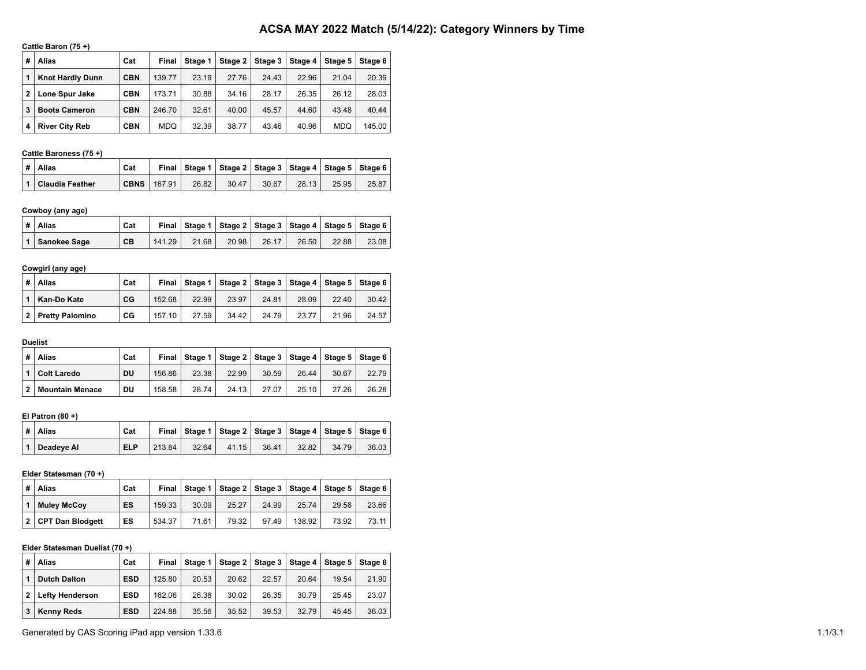# **ACSA MAY 2022 Match (5/14/22): Category Winners by Time**

## **Cattle Baron (75 +)**

| # | Alias                   | Cat        | Final      | Stage 1 | Stage 2 | Stage 3 | Stage 4 | Stage 5    | Stage 6 |
|---|-------------------------|------------|------------|---------|---------|---------|---------|------------|---------|
|   | <b>Knot Hardly Dunn</b> | <b>CBN</b> | 139.77     | 23.19   | 27.76   | 24.43   | 22.96   | 21.04      | 20.39   |
| 2 | Lone Spur Jake          | <b>CBN</b> | 173.71     | 30.88   | 34.16   | 28.17   | 26.35   | 26.12      | 28.03   |
| 3 | <b>Boots Cameron</b>    | <b>CBN</b> | 246.70     | 32.61   | 40.00   | 45.57   | 44.60   | 43.48      | 40.44   |
| 4 | <b>River City Reb</b>   | <b>CBN</b> | <b>MDO</b> | 32.39   | 38.77   | 43.46   | 40.96   | <b>MDQ</b> | 145.00  |

# **Cattle Baroness (75 +)**

| #   Alias<br>Cat    |                     |       | Final   Stage 1   Stage 2   Stage 3   Stage 4   Stage 5   Stage 6 |       |       |       |       |
|---------------------|---------------------|-------|-------------------------------------------------------------------|-------|-------|-------|-------|
| 1   Claudia Feather | CBNS $\vert$ 167.91 | 26.82 | 30.47                                                             | 30.67 | 28.13 | 25.95 | 25.87 |

# **Cowboy (any age)**

|  | ∣# ∣Alias      | Cat |        |       |       |       |       | Final Stage 1   Stage 2   Stage 3   Stage 4   Stage 5   Stage 6 |       |
|--|----------------|-----|--------|-------|-------|-------|-------|-----------------------------------------------------------------|-------|
|  | 1 Sanokee Sage | CB  | 141.29 | 21.68 | 20.98 | 26.17 | 26.50 | 22.88                                                           | 23.08 |

# **Cowgirl (any age)**

| # | Alias             | Cat | Final  |       | Stage 1   Stage 2   Stage 3   Stage 4   Stage 5   Stage 6 |       |       |       |       |
|---|-------------------|-----|--------|-------|-----------------------------------------------------------|-------|-------|-------|-------|
|   | Kan-Do Kate       | CG  | 152.68 | 22.99 | 23.97                                                     | 24.81 | 28.09 | 22.40 | 30.42 |
|   | 2 Pretty Palomino | CG  | 157.10 | 27.59 | 34.42                                                     | 24.79 | 23.77 | 21.96 | 24.57 |

## **Duelist**

| # | <b>Alias</b>           | Cat | Final  |       | Stage 1   Stage 2   Stage 3   Stage 4   Stage 5   Stage 6 |       |       |       |       |
|---|------------------------|-----|--------|-------|-----------------------------------------------------------|-------|-------|-------|-------|
|   | Colt Laredo            | DU  | 156.86 | 23.38 | 22.99                                                     | 30.59 | 26.44 | 30.67 | 22.79 |
| 2 | <b>Mountain Menace</b> | DU  | 158.58 | 28.74 | 24.13                                                     | 27.07 | 25.10 | 27.26 | 26.28 |

## **El Patron (80 +)**

| ∣#∣Alias     | Cat        |        |       | Final Stage 1   Stage 2   Stage 3   Stage 4   Stage 5   Stage 6 |       |       |       |       |
|--------------|------------|--------|-------|-----------------------------------------------------------------|-------|-------|-------|-------|
| 1 Deadeye Al | <b>ELP</b> | 213.84 | 32.64 | 41.15                                                           | 36.41 | 32.82 | 34.79 | 36.03 |

## **Elder Statesman (70 +)**

| # | Alias              | Cat | Final  |       | Stage 1   Stage 2   Stage 3   Stage 4   Stage 5   Stage 6 |       |        |       |       |
|---|--------------------|-----|--------|-------|-----------------------------------------------------------|-------|--------|-------|-------|
|   | <b>Mulev McCov</b> | ES  | 159.33 | 30.09 | 25.27                                                     | 24.99 | 25.74  | 29.58 | 23.66 |
|   | CPT Dan Blodgett   | ES  | 534.37 | 71.61 | 79.32                                                     | 97.49 | 138.92 | 73.92 | 73.11 |

## **Elder Statesman Duelist (70 +)**

| # | <b>Alias</b>           | Cat        | Final  | Stage 1 |       | Stage 2   Stage 3 |       | Stage 4   Stage 5   Stage 6 |       |
|---|------------------------|------------|--------|---------|-------|-------------------|-------|-----------------------------|-------|
|   | <b>Dutch Dalton</b>    | <b>ESD</b> | 125.80 | 20.53   | 20.62 | 22.57             | 20.64 | 19.54                       | 21.90 |
| 2 | <b>Lefty Henderson</b> | <b>ESD</b> | 162.06 | 26.38   | 30.02 | 26.35             | 30.79 | 25.45                       | 23.07 |
| 3 | Kenny Reds             | <b>ESD</b> | 224.88 | 35.56   | 35.52 | 39.53             | 32.79 | 45.45                       | 36.03 |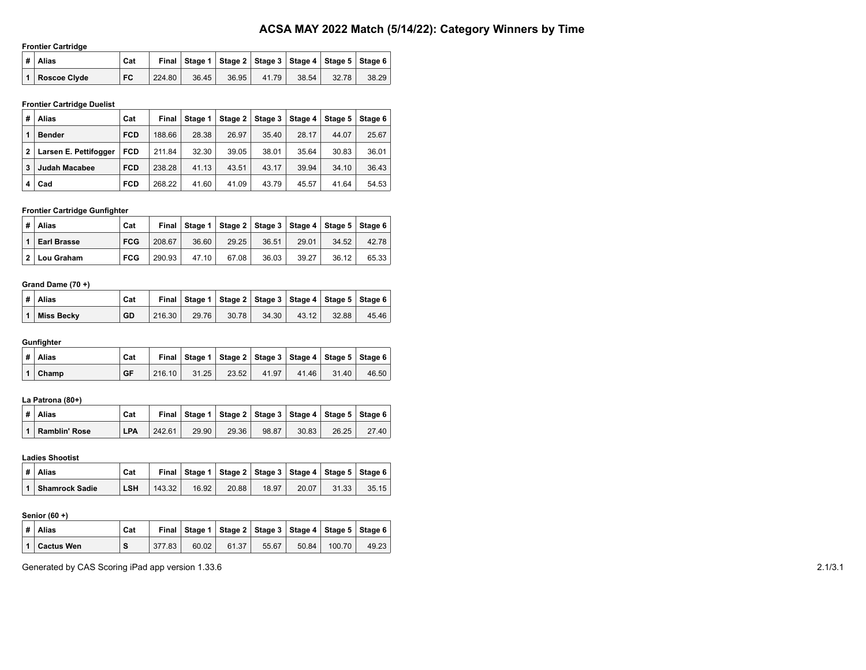# **ACSA MAY 2022 Match (5/14/22): Category Winners by Time**

#### **Frontier Cartridge**

| ∣# ∣Alias        | Cat |        |       |       |       |       |       | Final   Stage 1   Stage 2   Stage 3   Stage 4   Stage 5   Stage 6 |
|------------------|-----|--------|-------|-------|-------|-------|-------|-------------------------------------------------------------------|
| 1   Roscoe Civde | FC  | 224.80 | 36.45 | 36.95 | 41.79 | 38.54 | 32.78 | 38.29                                                             |

## **Frontier Cartridge Duelist**

| # | Alias                 | Cat        | Final  | Stage 1 | Stage $21$ | Stage 3 | Stage 4 | Stage 5 | Stage 6 |
|---|-----------------------|------------|--------|---------|------------|---------|---------|---------|---------|
|   | <b>Bender</b>         | <b>FCD</b> | 188.66 | 28.38   | 26.97      | 35.40   | 28.17   | 44.07   | 25.67   |
| 2 | Larsen E. Pettifogger | <b>FCD</b> | 211.84 | 32.30   | 39.05      | 38.01   | 35.64   | 30.83   | 36.01   |
| 3 | Judah Macabee         | <b>FCD</b> | 238.28 | 41.13   | 43.51      | 43.17   | 39.94   | 34.10   | 36.43   |
| 4 | Cad                   | <b>FCD</b> | 268.22 | 41.60   | 41.09      | 43.79   | 45.57   | 41.64   | 54.53   |

# **Frontier Cartridge Gunfighter**

| # | Alias              | Cat        |        |       |       | Final   Stage 1   Stage 2   Stage 3   Stage 4   Stage 5   Stage 6 |       |       |       |
|---|--------------------|------------|--------|-------|-------|-------------------------------------------------------------------|-------|-------|-------|
|   | <b>Earl Brasse</b> | <b>FCG</b> | 208.67 | 36.60 | 29.25 | 36.51                                                             | 29.01 | 34.52 | 42.78 |
|   | 2 Lou Graham       | <b>FCG</b> | 290.93 | 47.10 | 67.08 | 36.03                                                             | 39.27 | 36.12 | 65.33 |

#### **Grand Dame (70 +)**

|                | ∣# ∣Alias         | Cat |        |       | Final   Stage 1   Stage 2   Stage 3   Stage 4   Stage 5   Stage 6 |       |       |       |       |
|----------------|-------------------|-----|--------|-------|-------------------------------------------------------------------|-------|-------|-------|-------|
| $\overline{1}$ | <b>Miss Becky</b> | GD  | 216.30 | 29.76 | 30.78                                                             | 34.30 | 43.12 | 32.88 | 45.46 |

## **Gunfighter**

| $\vert$ # $\vert$ Alias<br>Cat |        |       | Final Stage 1   Stage 2   Stage 3   Stage 4   Stage 5   Stage 6 |       |       |       |       |
|--------------------------------|--------|-------|-----------------------------------------------------------------|-------|-------|-------|-------|
| 1 Champ<br><b>GF</b>           | 216.10 | 31.25 | 23.52                                                           | 41.97 | 41.46 | 31.40 | 46.50 |

## **La Patrona (80+)**

| ∣# ∣Alias         | Cat        |        |       | Final   Stage 1   Stage 2   Stage 3   Stage 4   Stage 5   Stage 6 |       |       |       |       |
|-------------------|------------|--------|-------|-------------------------------------------------------------------|-------|-------|-------|-------|
| 1   Ramblin' Rose | <b>LPA</b> | 242.61 | 29.90 | 29.36                                                             | 98.87 | 30.83 | 26.25 | 27.40 |

#### **Ladies Shootist**

| ∣# ∣Alias          | Cat        |        |       |       |       |       |       | Final   Stage 1   Stage 2   Stage 3   Stage 4   Stage 5   Stage 6 |
|--------------------|------------|--------|-------|-------|-------|-------|-------|-------------------------------------------------------------------|
| 1   Shamrock Sadie | <b>LSH</b> | 143.32 | 16.92 | 20.88 | 18.97 | 20.07 | 31.33 | 35.15                                                             |

#### **Senior (60 +)**

|  | ∣#∣Alias           | Cat |        |       | Final Stage 1   Stage 2   Stage 3   Stage 4   Stage 5   Stage 6 |       |       |        |       |
|--|--------------------|-----|--------|-------|-----------------------------------------------------------------|-------|-------|--------|-------|
|  | │ 1 │ Cactus Wen │ | s   | 377.83 | 60.02 | 61.37                                                           | 55.67 | 50.84 | 100.70 | 49.23 |

Generated by CAS Scoring iPad app version 1.33.6 2.1/3.1